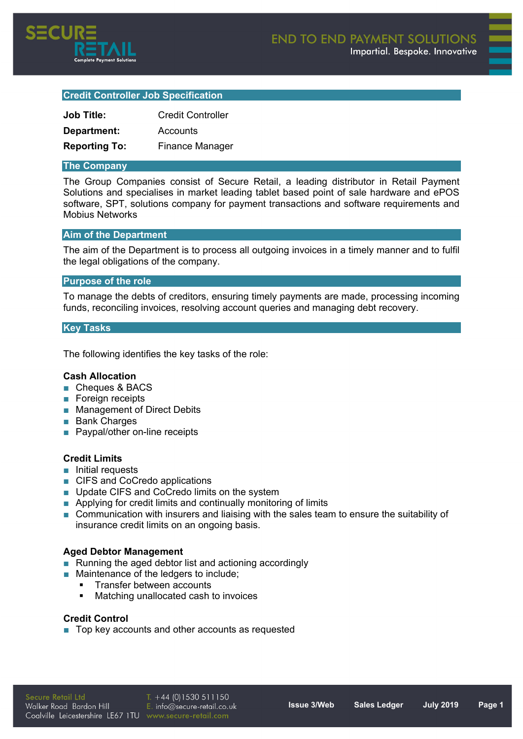

# **Credit Controller Job Specification**

| <b>Job Title:</b>    | <b>Credit Controller</b> |
|----------------------|--------------------------|
| Department:          | Accounts                 |
| <b>Reporting To:</b> | <b>Finance Manager</b>   |

## **The Company**

The Group Companies consist of Secure Retail, a leading distributor in Retail Payment Solutions and specialises in market leading tablet based point of sale hardware and ePOS software, SPT, solutions company for payment transactions and software requirements and Mobius Networks

# **Aim of the Department**

The aim of the Department is to process all outgoing invoices in a timely manner and to fulfil the legal obligations of the company.

#### **Purpose of the role**

To manage the debts of creditors, ensuring timely payments are made, processing incoming funds, reconciling invoices, resolving account queries and managing debt recovery.

#### **Key Tasks**

The following identifies the key tasks of the role:

## **Cash Allocation**

- Cheques & BACS
- Foreign receipts
- Management of Direct Debits
- **■** Bank Charges
- Paypal/other on-line receipts

## **Credit Limits**

- **■** Initial requests
- CIFS and CoCredo applications
- Update CIFS and CoCredo limits on the system
- Applying for credit limits and continually monitoring of limits
- Communication with insurers and liaising with the sales team to ensure the suitability of insurance credit limits on an ongoing basis.

## **Aged Debtor Management**

- Running the aged debtor list and actioning accordingly
- Maintenance of the ledgers to include:
	- Transfer between accounts
	- Matching unallocated cash to invoices

# **Credit Control**

■ Top key accounts and other accounts as requested